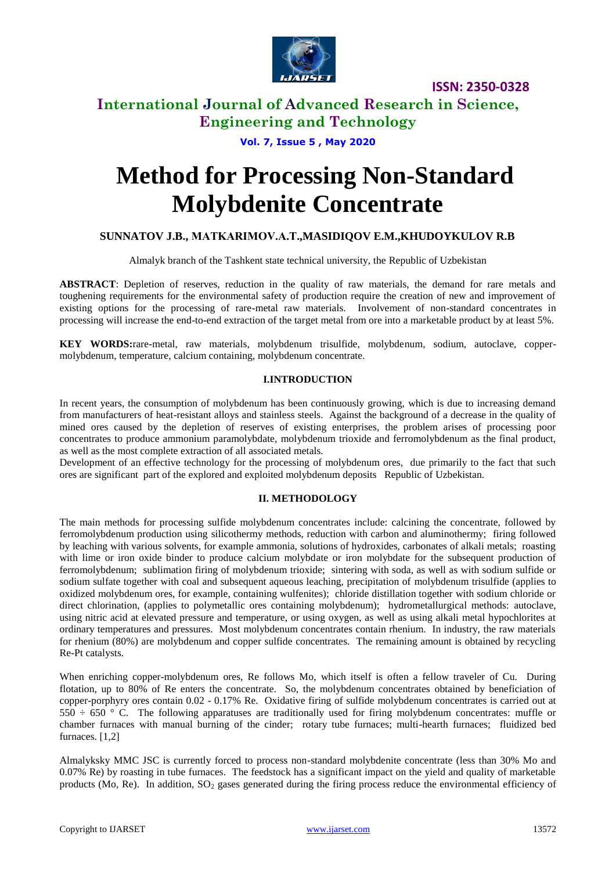

**ISSN: 2350-0328**

## **International Journal of Advanced Research in Science, Engineering and Technology**

### **Vol. 7, Issue 5 , May 2020**

# **Method for Processing Non-Standard Molybdenite Concentrate**

### **SUNNATOV J.B., MATKARIMOV.A.Т.,MASIDIQOV E.M.,KHUDOYKULOV R.B**

Almalyk branch of the Tashkent state technical university, the Republic of Uzbekistan

**ABSTRACT**: Depletion of reserves, reduction in the quality of raw materials, the demand for rare metals and toughening requirements for the environmental safety of production require the creation of new and improvement of existing options for the processing of rare-metal raw materials. Involvement of non-standard concentrates in processing will increase the end-to-end extraction of the target metal from ore into a marketable product by at least 5%.

**KEY WORDS:**rare-metal, raw materials, molybdenum trisulfide, molybdenum, sodium, autoclave, coppermolybdenum, temperature, calcium containing, molybdenum concentrate.

#### **I.INTRODUCTION**

In recent years, the consumption of molybdenum has been continuously growing, which is due to increasing demand from manufacturers of heat-resistant alloys and stainless steels. Against the background of a decrease in the quality of mined ores caused by the depletion of reserves of existing enterprises, the problem arises of processing poor concentrates to produce ammonium paramolybdate, molybdenum trioxide and ferromolybdenum as the final product, as well as the most complete extraction of all associated metals.

Development of an effective technology for the processing of molybdenum ores, due primarily to the fact that such ores are significant part of the explored and exploited molybdenum deposits Republic of Uzbekistan.

### **II. METHODOLOGY**

The main methods for processing sulfide molybdenum concentrates include: calcining the concentrate, followed by ferromolybdenum production using silicothermy methods, reduction with carbon and aluminothermy; firing followed by leaching with various solvents, for example ammonia, solutions of hydroxides, carbonates of alkali metals; roasting with lime or iron oxide binder to produce calcium molybdate or iron molybdate for the subsequent production of ferromolybdenum; sublimation firing of molybdenum trioxide; sintering with soda, as well as with sodium sulfide or sodium sulfate together with coal and subsequent aqueous leaching, precipitation of molybdenum trisulfide (applies to oxidized molybdenum ores, for example, containing wulfenites); chloride distillation together with sodium chloride or direct chlorination, (applies to polymetallic ores containing molybdenum); hydrometallurgical methods: autoclave, using nitric acid at elevated pressure and temperature, or using oxygen, as well as using alkali metal hypochlorites at ordinary temperatures and pressures. Most molybdenum concentrates contain rhenium. In industry, the raw materials for rhenium (80%) are molybdenum and copper sulfide concentrates. The remaining amount is obtained by recycling Re-Pt catalysts.

When enriching copper-molybdenum ores, Re follows Mo, which itself is often a fellow traveler of Cu. During flotation, up to 80% of Re enters the concentrate. So, the molybdenum concentrates obtained by beneficiation of copper-porphyry ores contain 0.02 - 0.17% Re. Oxidative firing of sulfide molybdenum concentrates is carried out at  $550 \div 650$  ° C. The following apparatuses are traditionally used for firing molybdenum concentrates: muffle or chamber furnaces with manual burning of the cinder; rotary tube furnaces; multi-hearth furnaces; fluidized bed furnaces. [1,2]

Almalyksky MMC JSC is currently forced to process non-standard molybdenite concentrate (less than 30% Mo and 0.07% Re) by roasting in tube furnaces. The feedstock has a significant impact on the yield and quality of marketable products (Mo, Re). In addition,  $SO<sub>2</sub>$  gases generated during the firing process reduce the environmental efficiency of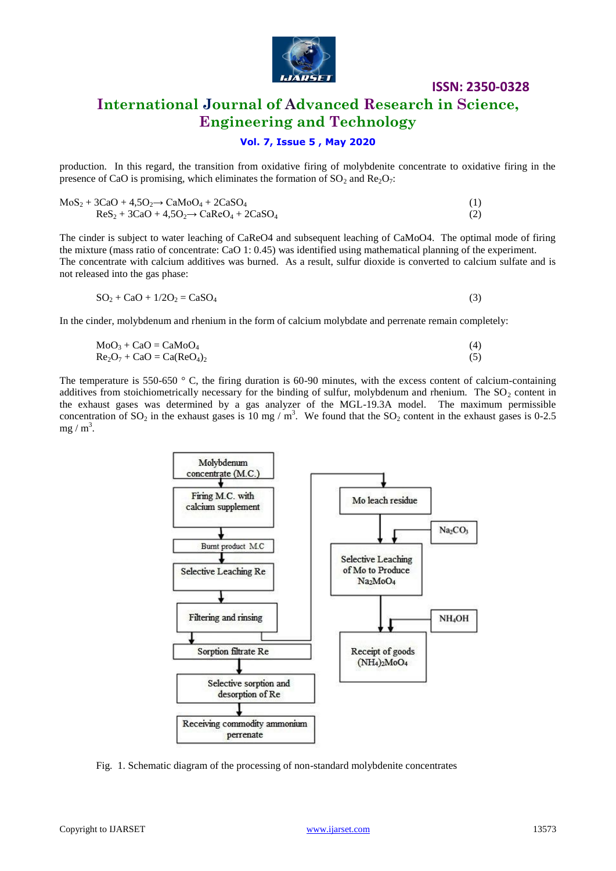

### **ISSN: 2350-0328**

## **International Journal of Advanced Research in Science, Engineering and Technology**

### **Vol. 7, Issue 5 , May 2020**

production. In this regard, the transition from oxidative firing of molybdenite concentrate to oxidative firing in the presence of CaO is promising, which eliminates the formation of  $SO_2$  and  $Re<sub>2</sub>O<sub>7</sub>$ :

$$
MoS2 + 3CaO + 4,5O2 \rightarrow CaMoO4 + 2CaSO4
$$
  
\n
$$
ReS2 + 3CaO + 4,5O2 \rightarrow CaReO4 + 2CaSO4
$$
 (1) (1)

The cinder is subject to water leaching of CaReO4 and subsequent leaching of CaMoO4. The optimal mode of firing the mixture (mass ratio of concentrate: CaO 1: 0.45) was identified using mathematical planning of the experiment. The concentrate with calcium additives was burned. As a result, sulfur dioxide is converted to calcium sulfate and is not released into the gas phase:

$$
SO2 + CaO + 1/2O2 = CaSO4
$$
\n(3)

In the cinder, molybdenum and rhenium in the form of calcium molybdate and perrenate remain completely:

| $MoO3 + CaO = CaMoO4$         |  |
|-------------------------------|--|
| $Re_2O_7 + CaO = Ca(ReO_4)_2$ |  |

The temperature is 550-650  $\degree$  C, the firing duration is 60-90 minutes, with the excess content of calcium-containing additives from stoichiometrically necessary for the binding of sulfur, molybdenum and rhenium. The  $SO<sub>2</sub>$  content in the exhaust gases was determined by a gas analyzer of the MGL-19.3A model. The maximum permissible concentration of SO<sub>2</sub> in the exhaust gases is 10 mg / m<sup>3</sup>. We found that the SO<sub>2</sub> content in the exhaust gases is 0-2.5  $mg / m<sup>3</sup>$ .



Fig. 1. Schematic diagram of the processing of non-standard molybdenite concentrates